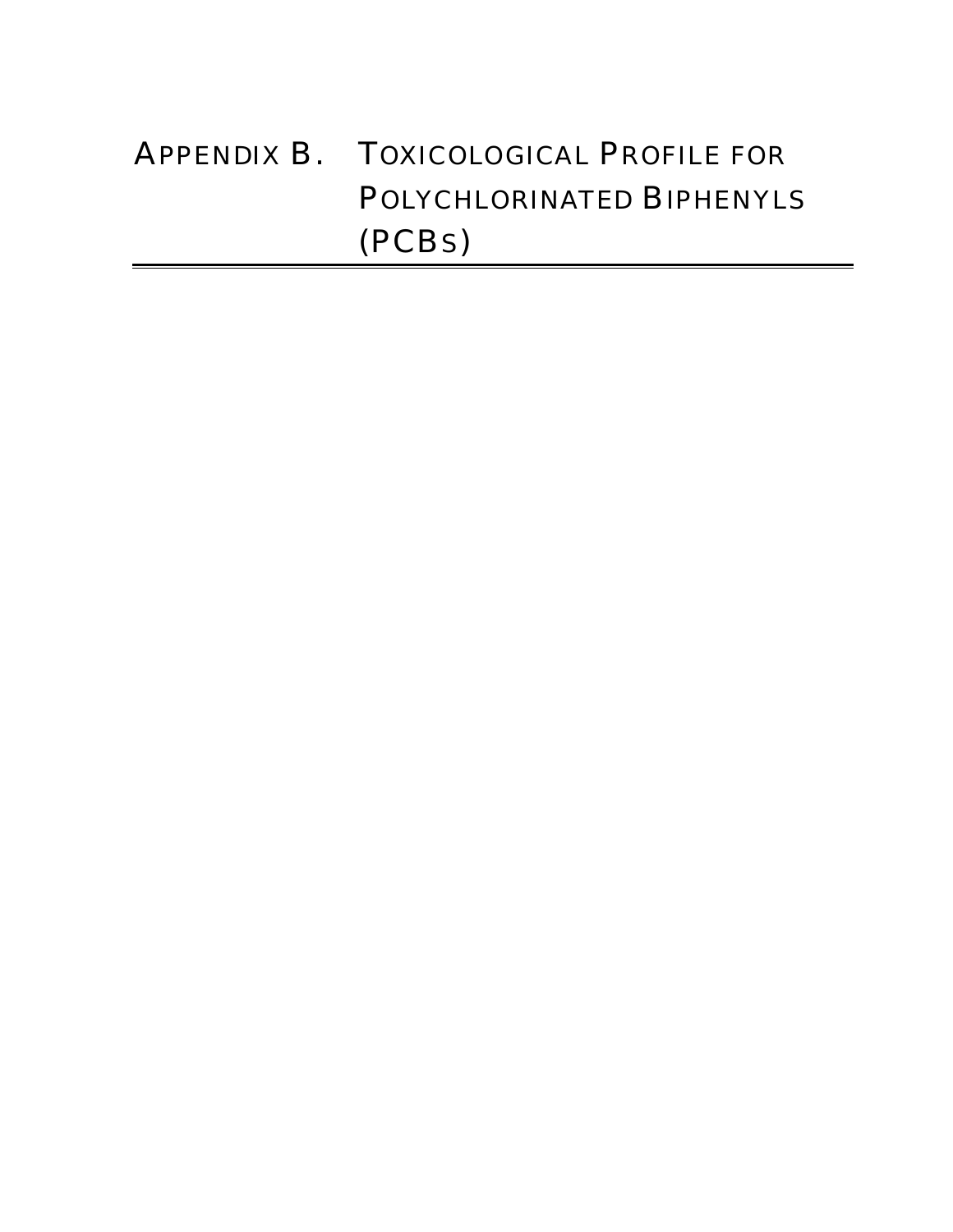# APPENDIX B. TOXICOLOGICAL PROFILE FOR POLYCHLORINATED BIPHENYLS (PCBS)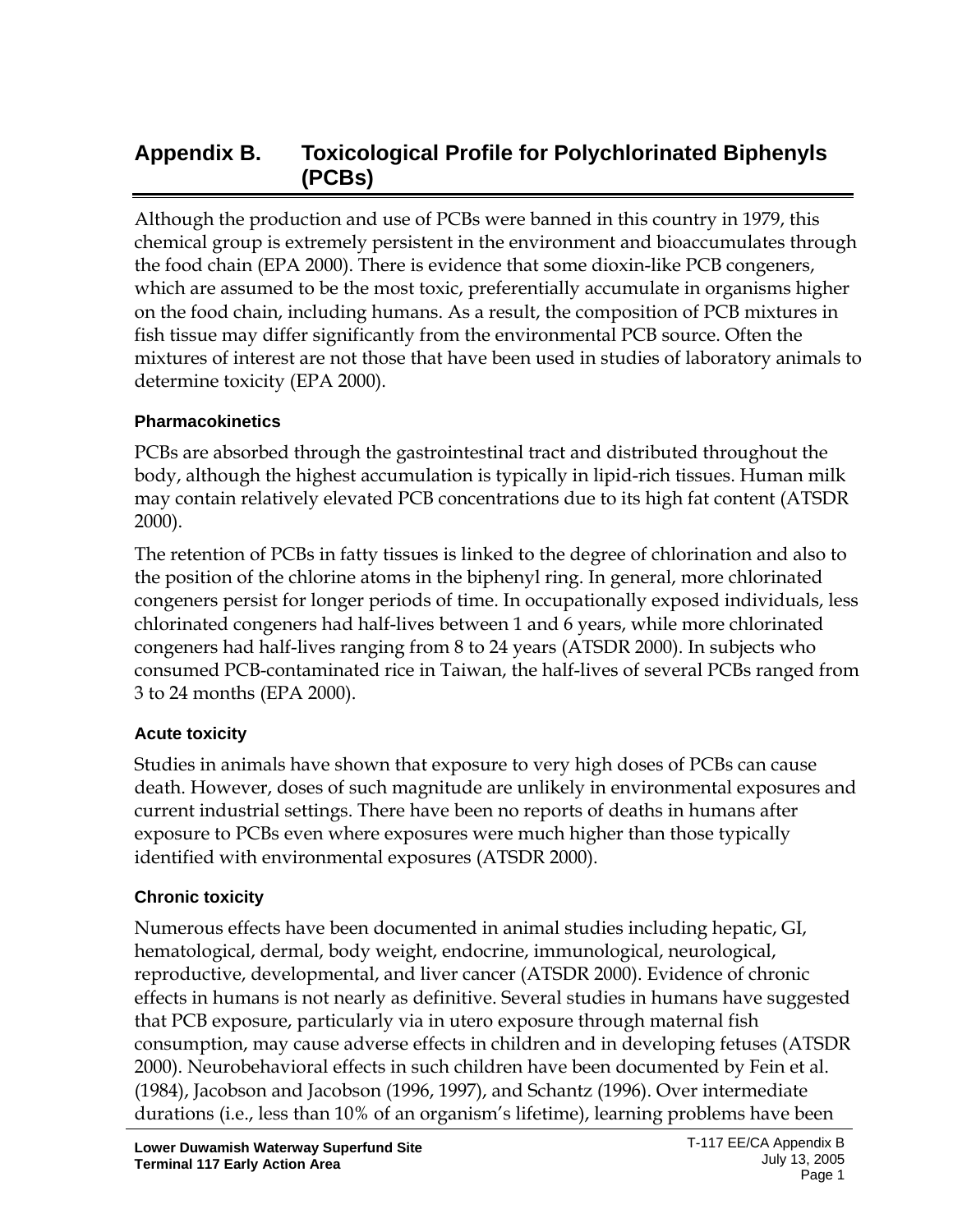# **Appendix B. Toxicological Profile for Polychlorinated Biphenyls (PCBs)**

Although the production and use of PCBs were banned in this country in 1979, this chemical group is extremely persistent in the environment and bioaccumulates through the food chain (EPA 2000). There is evidence that some dioxin-like PCB congeners, which are assumed to be the most toxic, preferentially accumulate in organisms higher on the food chain, including humans. As a result, the composition of PCB mixtures in fish tissue may differ significantly from the environmental PCB source. Often the mixtures of interest are not those that have been used in studies of laboratory animals to determine toxicity (EPA 2000).

#### **Pharmacokinetics**

PCBs are absorbed through the gastrointestinal tract and distributed throughout the body, although the highest accumulation is typically in lipid-rich tissues. Human milk may contain relatively elevated PCB concentrations due to its high fat content (ATSDR 2000).

The retention of PCBs in fatty tissues is linked to the degree of chlorination and also to the position of the chlorine atoms in the biphenyl ring. In general, more chlorinated congeners persist for longer periods of time. In occupationally exposed individuals, less chlorinated congeners had half-lives between 1 and 6 years, while more chlorinated congeners had half-lives ranging from 8 to 24 years (ATSDR 2000). In subjects who consumed PCB-contaminated rice in Taiwan, the half-lives of several PCBs ranged from 3 to 24 months (EPA 2000).

#### **Acute toxicity**

Studies in animals have shown that exposure to very high doses of PCBs can cause death. However, doses of such magnitude are unlikely in environmental exposures and current industrial settings. There have been no reports of deaths in humans after exposure to PCBs even where exposures were much higher than those typically identified with environmental exposures (ATSDR 2000).

#### **Chronic toxicity**

Numerous effects have been documented in animal studies including hepatic, GI, hematological, dermal, body weight, endocrine, immunological, neurological, reproductive, developmental, and liver cancer (ATSDR 2000). Evidence of chronic effects in humans is not nearly as definitive. Several studies in humans have suggested that PCB exposure, particularly via in utero exposure through maternal fish consumption, may cause adverse effects in children and in developing fetuses (ATSDR 2000). Neurobehavioral effects in such children have been documented by Fein et al. (1984), Jacobson and Jacobson (1996, 1997), and Schantz (1996). Over intermediate durations (i.e., less than 10% of an organism's lifetime), learning problems have been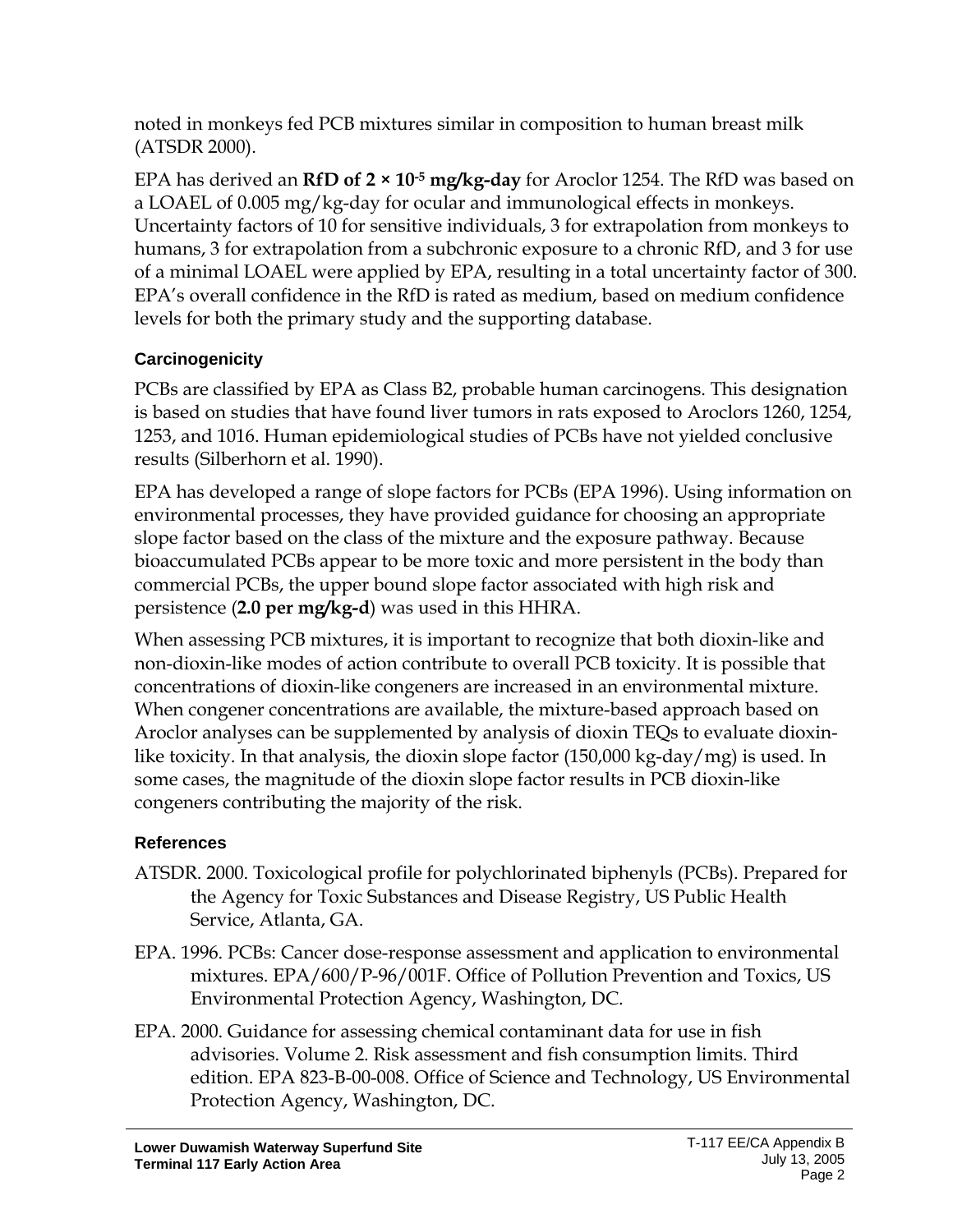noted in monkeys fed PCB mixtures similar in composition to human breast milk (ATSDR 2000).

EPA has derived an **RfD of 2 × 10-5 mg/kg-day** for Aroclor 1254. The RfD was based on a LOAEL of 0.005 mg/kg-day for ocular and immunological effects in monkeys. Uncertainty factors of 10 for sensitive individuals, 3 for extrapolation from monkeys to humans, 3 for extrapolation from a subchronic exposure to a chronic RfD, and 3 for use of a minimal LOAEL were applied by EPA, resulting in a total uncertainty factor of 300. EPA's overall confidence in the RfD is rated as medium, based on medium confidence levels for both the primary study and the supporting database.

### **Carcinogenicity**

PCBs are classified by EPA as Class B2, probable human carcinogens. This designation is based on studies that have found liver tumors in rats exposed to Aroclors 1260, 1254, 1253, and 1016. Human epidemiological studies of PCBs have not yielded conclusive results (Silberhorn et al. 1990).

EPA has developed a range of slope factors for PCBs (EPA 1996). Using information on environmental processes, they have provided guidance for choosing an appropriate slope factor based on the class of the mixture and the exposure pathway. Because bioaccumulated PCBs appear to be more toxic and more persistent in the body than commercial PCBs, the upper bound slope factor associated with high risk and persistence (**2.0 per mg/kg-d**) was used in this HHRA.

When assessing PCB mixtures, it is important to recognize that both dioxin-like and non-dioxin-like modes of action contribute to overall PCB toxicity. It is possible that concentrations of dioxin-like congeners are increased in an environmental mixture. When congener concentrations are available, the mixture-based approach based on Aroclor analyses can be supplemented by analysis of dioxin TEQs to evaluate dioxinlike toxicity. In that analysis, the dioxin slope factor (150,000 kg-day/mg) is used. In some cases, the magnitude of the dioxin slope factor results in PCB dioxin-like congeners contributing the majority of the risk.

## **References**

- ATSDR. 2000. Toxicological profile for polychlorinated biphenyls (PCBs). Prepared for the Agency for Toxic Substances and Disease Registry, US Public Health Service, Atlanta, GA.
- EPA. 1996. PCBs: Cancer dose-response assessment and application to environmental mixtures. EPA/600/P-96/001F. Office of Pollution Prevention and Toxics, US Environmental Protection Agency, Washington, DC.
- EPA. 2000. Guidance for assessing chemical contaminant data for use in fish advisories. Volume 2. Risk assessment and fish consumption limits. Third edition. EPA 823-B-00-008. Office of Science and Technology, US Environmental Protection Agency, Washington, DC.